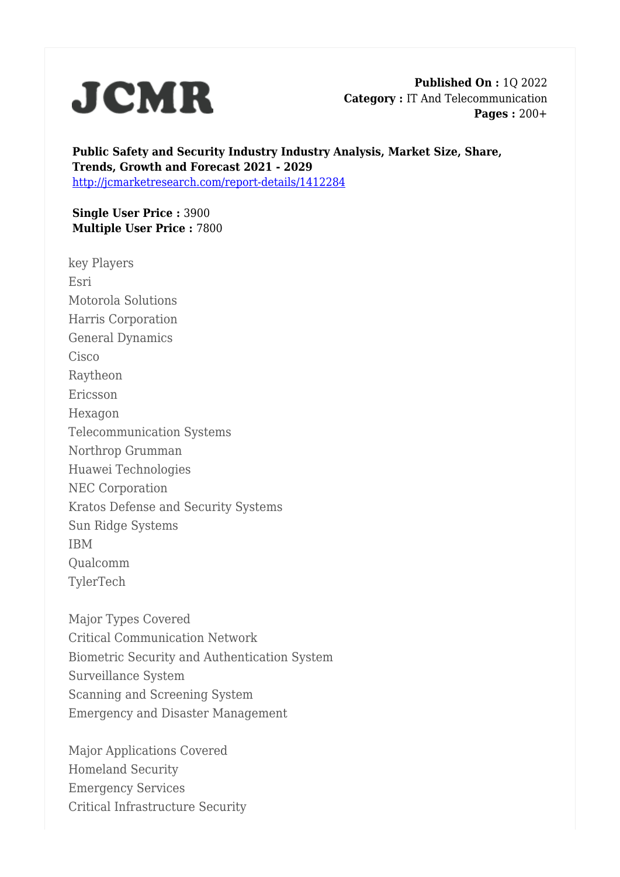

**Published On :** 1Q 2022 **Category :** IT And Telecommunication **Pages :** 200+

**Public Safety and Security Industry Industry Analysis, Market Size, Share, Trends, Growth and Forecast 2021 - 2029** <http://jcmarketresearch.com/report-details/1412284>

**Single User Price :** 3900 **Multiple User Price :** 7800

key Players Esri Motorola Solutions Harris Corporation General Dynamics **Cisco** Raytheon Ericsson Hexagon Telecommunication Systems Northrop Grumman Huawei Technologies NEC Corporation Kratos Defense and Security Systems Sun Ridge Systems IBM Qualcomm TylerTech

Major Types Covered Critical Communication Network Biometric Security and Authentication System Surveillance System Scanning and Screening System Emergency and Disaster Management

Major Applications Covered Homeland Security Emergency Services Critical Infrastructure Security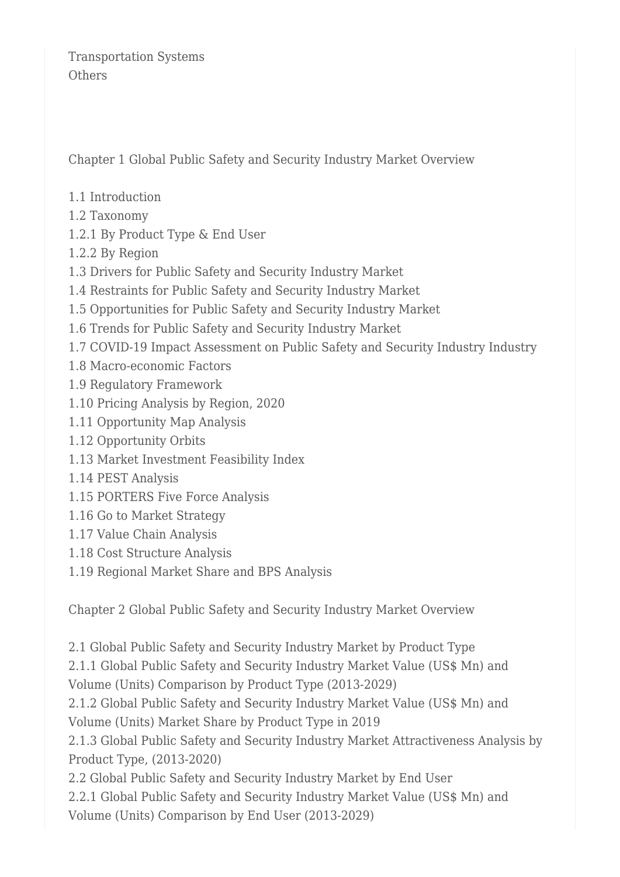Transportation Systems **Others** 

Chapter 1 Global Public Safety and Security Industry Market Overview

- 1.1 Introduction
- 1.2 Taxonomy
- 1.2.1 By Product Type & End User
- 1.2.2 By Region
- 1.3 Drivers for Public Safety and Security Industry Market
- 1.4 Restraints for Public Safety and Security Industry Market
- 1.5 Opportunities for Public Safety and Security Industry Market
- 1.6 Trends for Public Safety and Security Industry Market
- 1.7 COVID-19 Impact Assessment on Public Safety and Security Industry Industry
- 1.8 Macro-economic Factors
- 1.9 Regulatory Framework
- 1.10 Pricing Analysis by Region, 2020
- 1.11 Opportunity Map Analysis
- 1.12 Opportunity Orbits
- 1.13 Market Investment Feasibility Index
- 1.14 PEST Analysis
- 1.15 PORTERS Five Force Analysis
- 1.16 Go to Market Strategy
- 1.17 Value Chain Analysis
- 1.18 Cost Structure Analysis
- 1.19 Regional Market Share and BPS Analysis

Chapter 2 Global Public Safety and Security Industry Market Overview

2.1 Global Public Safety and Security Industry Market by Product Type 2.1.1 Global Public Safety and Security Industry Market Value (US\$ Mn) and Volume (Units) Comparison by Product Type (2013-2029) 2.1.2 Global Public Safety and Security Industry Market Value (US\$ Mn) and Volume (Units) Market Share by Product Type in 2019 2.1.3 Global Public Safety and Security Industry Market Attractiveness Analysis by Product Type, (2013-2020) 2.2 Global Public Safety and Security Industry Market by End User 2.2.1 Global Public Safety and Security Industry Market Value (US\$ Mn) and Volume (Units) Comparison by End User (2013-2029)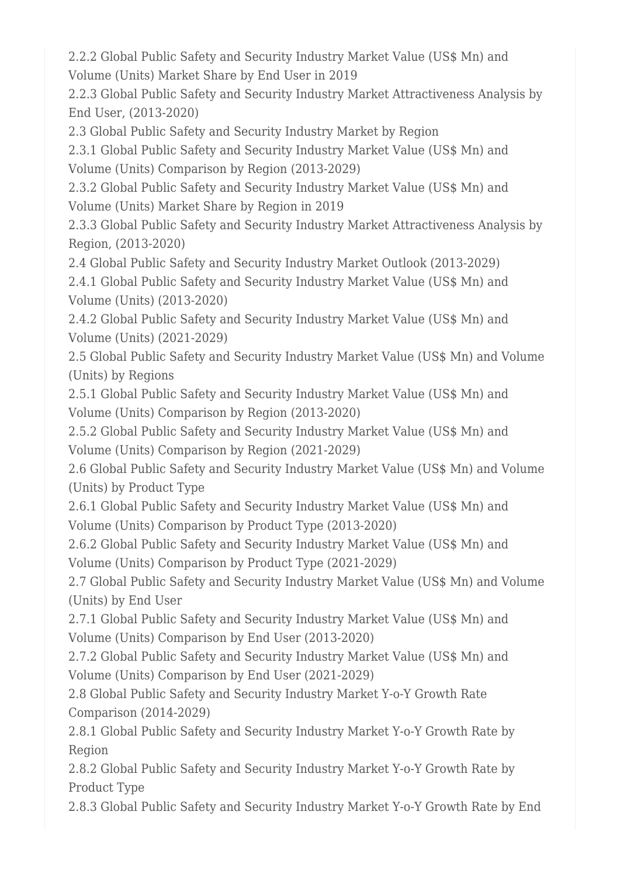2.2.2 Global Public Safety and Security Industry Market Value (US\$ Mn) and Volume (Units) Market Share by End User in 2019

2.2.3 Global Public Safety and Security Industry Market Attractiveness Analysis by End User, (2013-2020)

2.3 Global Public Safety and Security Industry Market by Region

2.3.1 Global Public Safety and Security Industry Market Value (US\$ Mn) and Volume (Units) Comparison by Region (2013-2029)

2.3.2 Global Public Safety and Security Industry Market Value (US\$ Mn) and Volume (Units) Market Share by Region in 2019

2.3.3 Global Public Safety and Security Industry Market Attractiveness Analysis by Region, (2013-2020)

2.4 Global Public Safety and Security Industry Market Outlook (2013-2029)

2.4.1 Global Public Safety and Security Industry Market Value (US\$ Mn) and Volume (Units) (2013-2020)

2.4.2 Global Public Safety and Security Industry Market Value (US\$ Mn) and Volume (Units) (2021-2029)

2.5 Global Public Safety and Security Industry Market Value (US\$ Mn) and Volume (Units) by Regions

2.5.1 Global Public Safety and Security Industry Market Value (US\$ Mn) and Volume (Units) Comparison by Region (2013-2020)

2.5.2 Global Public Safety and Security Industry Market Value (US\$ Mn) and Volume (Units) Comparison by Region (2021-2029)

2.6 Global Public Safety and Security Industry Market Value (US\$ Mn) and Volume (Units) by Product Type

2.6.1 Global Public Safety and Security Industry Market Value (US\$ Mn) and Volume (Units) Comparison by Product Type (2013-2020)

2.6.2 Global Public Safety and Security Industry Market Value (US\$ Mn) and Volume (Units) Comparison by Product Type (2021-2029)

2.7 Global Public Safety and Security Industry Market Value (US\$ Mn) and Volume (Units) by End User

2.7.1 Global Public Safety and Security Industry Market Value (US\$ Mn) and Volume (Units) Comparison by End User (2013-2020)

2.7.2 Global Public Safety and Security Industry Market Value (US\$ Mn) and Volume (Units) Comparison by End User (2021-2029)

2.8 Global Public Safety and Security Industry Market Y-o-Y Growth Rate Comparison (2014-2029)

2.8.1 Global Public Safety and Security Industry Market Y-o-Y Growth Rate by Region

2.8.2 Global Public Safety and Security Industry Market Y-o-Y Growth Rate by Product Type

2.8.3 Global Public Safety and Security Industry Market Y-o-Y Growth Rate by End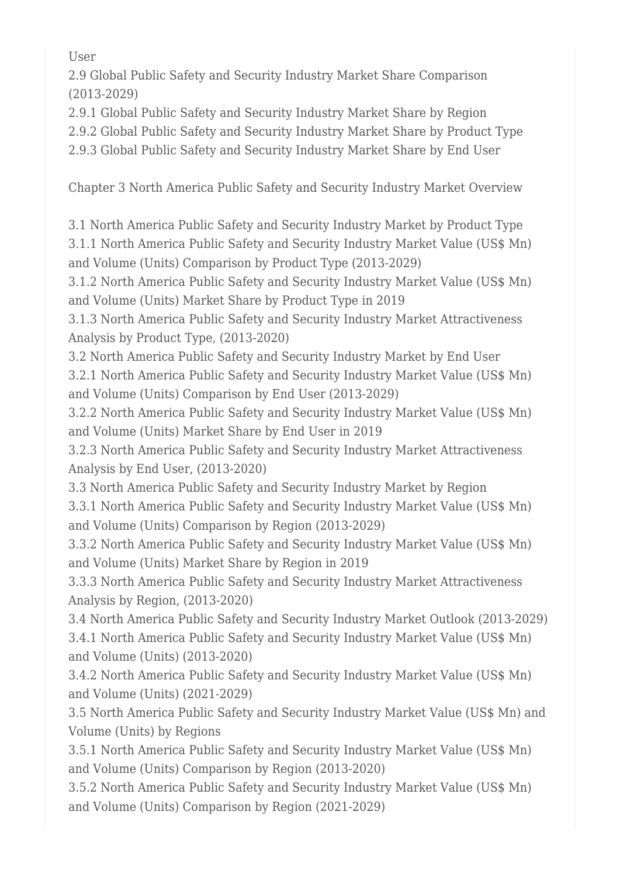User

2.9 Global Public Safety and Security Industry Market Share Comparison (2013-2029)

2.9.1 Global Public Safety and Security Industry Market Share by Region

2.9.2 Global Public Safety and Security Industry Market Share by Product Type

2.9.3 Global Public Safety and Security Industry Market Share by End User

Chapter 3 North America Public Safety and Security Industry Market Overview

3.1 North America Public Safety and Security Industry Market by Product Type 3.1.1 North America Public Safety and Security Industry Market Value (US\$ Mn) and Volume (Units) Comparison by Product Type (2013-2029)

3.1.2 North America Public Safety and Security Industry Market Value (US\$ Mn) and Volume (Units) Market Share by Product Type in 2019

3.1.3 North America Public Safety and Security Industry Market Attractiveness Analysis by Product Type, (2013-2020)

3.2 North America Public Safety and Security Industry Market by End User 3.2.1 North America Public Safety and Security Industry Market Value (US\$ Mn) and Volume (Units) Comparison by End User (2013-2029)

3.2.2 North America Public Safety and Security Industry Market Value (US\$ Mn) and Volume (Units) Market Share by End User in 2019

3.2.3 North America Public Safety and Security Industry Market Attractiveness Analysis by End User, (2013-2020)

3.3 North America Public Safety and Security Industry Market by Region

3.3.1 North America Public Safety and Security Industry Market Value (US\$ Mn) and Volume (Units) Comparison by Region (2013-2029)

3.3.2 North America Public Safety and Security Industry Market Value (US\$ Mn) and Volume (Units) Market Share by Region in 2019

3.3.3 North America Public Safety and Security Industry Market Attractiveness Analysis by Region, (2013-2020)

3.4 North America Public Safety and Security Industry Market Outlook (2013-2029) 3.4.1 North America Public Safety and Security Industry Market Value (US\$ Mn) and Volume (Units) (2013-2020)

3.4.2 North America Public Safety and Security Industry Market Value (US\$ Mn) and Volume (Units) (2021-2029)

3.5 North America Public Safety and Security Industry Market Value (US\$ Mn) and Volume (Units) by Regions

3.5.1 North America Public Safety and Security Industry Market Value (US\$ Mn) and Volume (Units) Comparison by Region (2013-2020)

3.5.2 North America Public Safety and Security Industry Market Value (US\$ Mn) and Volume (Units) Comparison by Region (2021-2029)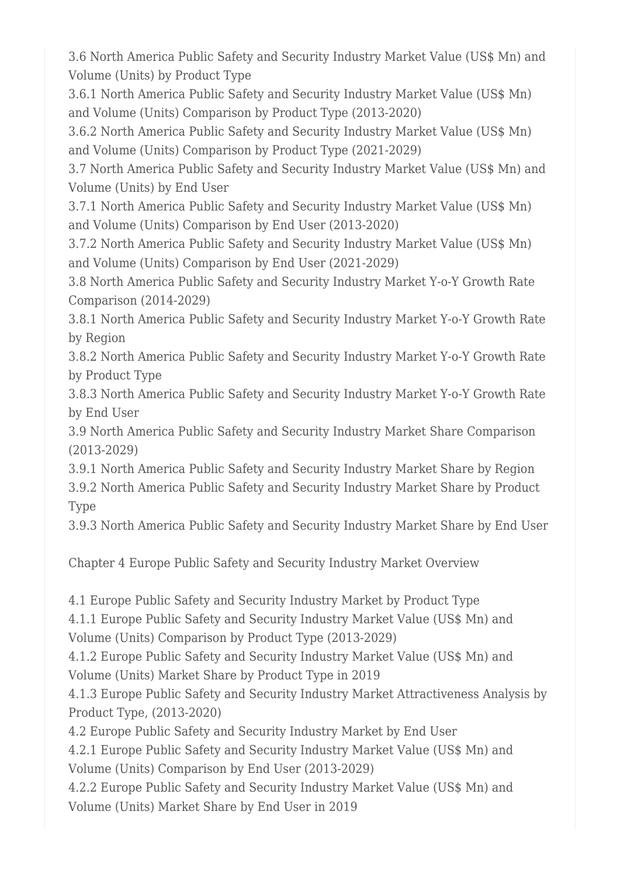3.6 North America Public Safety and Security Industry Market Value (US\$ Mn) and Volume (Units) by Product Type

3.6.1 North America Public Safety and Security Industry Market Value (US\$ Mn) and Volume (Units) Comparison by Product Type (2013-2020)

3.6.2 North America Public Safety and Security Industry Market Value (US\$ Mn) and Volume (Units) Comparison by Product Type (2021-2029)

3.7 North America Public Safety and Security Industry Market Value (US\$ Mn) and Volume (Units) by End User

3.7.1 North America Public Safety and Security Industry Market Value (US\$ Mn) and Volume (Units) Comparison by End User (2013-2020)

3.7.2 North America Public Safety and Security Industry Market Value (US\$ Mn) and Volume (Units) Comparison by End User (2021-2029)

3.8 North America Public Safety and Security Industry Market Y-o-Y Growth Rate Comparison (2014-2029)

3.8.1 North America Public Safety and Security Industry Market Y-o-Y Growth Rate by Region

3.8.2 North America Public Safety and Security Industry Market Y-o-Y Growth Rate by Product Type

3.8.3 North America Public Safety and Security Industry Market Y-o-Y Growth Rate by End User

3.9 North America Public Safety and Security Industry Market Share Comparison (2013-2029)

3.9.1 North America Public Safety and Security Industry Market Share by Region 3.9.2 North America Public Safety and Security Industry Market Share by Product Type

3.9.3 North America Public Safety and Security Industry Market Share by End User

Chapter 4 Europe Public Safety and Security Industry Market Overview

4.1 Europe Public Safety and Security Industry Market by Product Type

4.1.1 Europe Public Safety and Security Industry Market Value (US\$ Mn) and Volume (Units) Comparison by Product Type (2013-2029)

4.1.2 Europe Public Safety and Security Industry Market Value (US\$ Mn) and Volume (Units) Market Share by Product Type in 2019

4.1.3 Europe Public Safety and Security Industry Market Attractiveness Analysis by Product Type, (2013-2020)

4.2 Europe Public Safety and Security Industry Market by End User

4.2.1 Europe Public Safety and Security Industry Market Value (US\$ Mn) and Volume (Units) Comparison by End User (2013-2029)

4.2.2 Europe Public Safety and Security Industry Market Value (US\$ Mn) and Volume (Units) Market Share by End User in 2019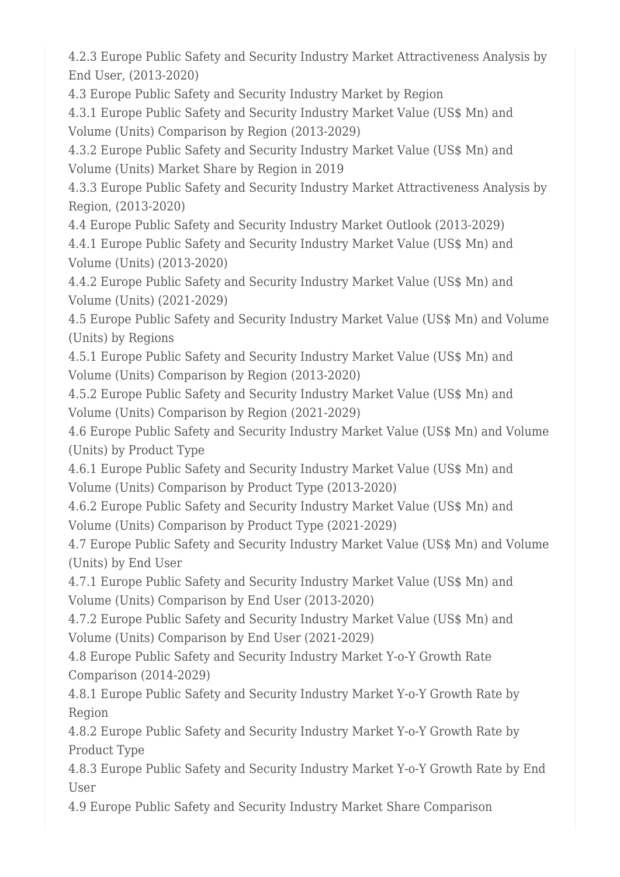4.2.3 Europe Public Safety and Security Industry Market Attractiveness Analysis by End User, (2013-2020)

4.3 Europe Public Safety and Security Industry Market by Region

4.3.1 Europe Public Safety and Security Industry Market Value (US\$ Mn) and Volume (Units) Comparison by Region (2013-2029)

4.3.2 Europe Public Safety and Security Industry Market Value (US\$ Mn) and Volume (Units) Market Share by Region in 2019

4.3.3 Europe Public Safety and Security Industry Market Attractiveness Analysis by Region, (2013-2020)

4.4 Europe Public Safety and Security Industry Market Outlook (2013-2029)

4.4.1 Europe Public Safety and Security Industry Market Value (US\$ Mn) and Volume (Units) (2013-2020)

4.4.2 Europe Public Safety and Security Industry Market Value (US\$ Mn) and Volume (Units) (2021-2029)

4.5 Europe Public Safety and Security Industry Market Value (US\$ Mn) and Volume (Units) by Regions

4.5.1 Europe Public Safety and Security Industry Market Value (US\$ Mn) and Volume (Units) Comparison by Region (2013-2020)

4.5.2 Europe Public Safety and Security Industry Market Value (US\$ Mn) and Volume (Units) Comparison by Region (2021-2029)

4.6 Europe Public Safety and Security Industry Market Value (US\$ Mn) and Volume (Units) by Product Type

4.6.1 Europe Public Safety and Security Industry Market Value (US\$ Mn) and Volume (Units) Comparison by Product Type (2013-2020)

4.6.2 Europe Public Safety and Security Industry Market Value (US\$ Mn) and Volume (Units) Comparison by Product Type (2021-2029)

4.7 Europe Public Safety and Security Industry Market Value (US\$ Mn) and Volume (Units) by End User

4.7.1 Europe Public Safety and Security Industry Market Value (US\$ Mn) and Volume (Units) Comparison by End User (2013-2020)

4.7.2 Europe Public Safety and Security Industry Market Value (US\$ Mn) and Volume (Units) Comparison by End User (2021-2029)

4.8 Europe Public Safety and Security Industry Market Y-o-Y Growth Rate Comparison (2014-2029)

4.8.1 Europe Public Safety and Security Industry Market Y-o-Y Growth Rate by Region

4.8.2 Europe Public Safety and Security Industry Market Y-o-Y Growth Rate by Product Type

4.8.3 Europe Public Safety and Security Industry Market Y-o-Y Growth Rate by End User

4.9 Europe Public Safety and Security Industry Market Share Comparison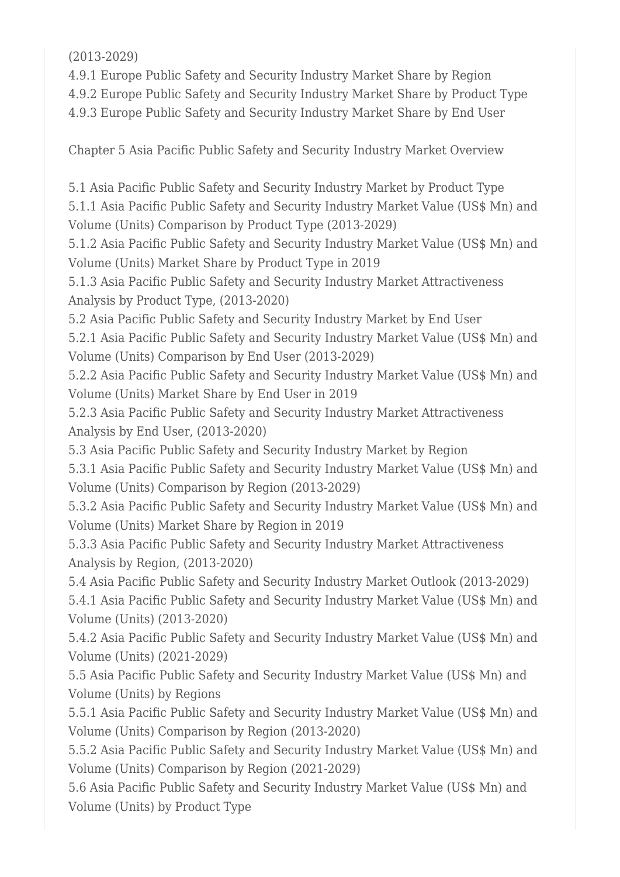(2013-2029)

4.9.1 Europe Public Safety and Security Industry Market Share by Region

4.9.2 Europe Public Safety and Security Industry Market Share by Product Type

4.9.3 Europe Public Safety and Security Industry Market Share by End User

Chapter 5 Asia Pacific Public Safety and Security Industry Market Overview

5.1 Asia Pacific Public Safety and Security Industry Market by Product Type 5.1.1 Asia Pacific Public Safety and Security Industry Market Value (US\$ Mn) and Volume (Units) Comparison by Product Type (2013-2029)

5.1.2 Asia Pacific Public Safety and Security Industry Market Value (US\$ Mn) and Volume (Units) Market Share by Product Type in 2019

5.1.3 Asia Pacific Public Safety and Security Industry Market Attractiveness Analysis by Product Type, (2013-2020)

5.2 Asia Pacific Public Safety and Security Industry Market by End User

5.2.1 Asia Pacific Public Safety and Security Industry Market Value (US\$ Mn) and Volume (Units) Comparison by End User (2013-2029)

5.2.2 Asia Pacific Public Safety and Security Industry Market Value (US\$ Mn) and Volume (Units) Market Share by End User in 2019

5.2.3 Asia Pacific Public Safety and Security Industry Market Attractiveness Analysis by End User, (2013-2020)

5.3 Asia Pacific Public Safety and Security Industry Market by Region

5.3.1 Asia Pacific Public Safety and Security Industry Market Value (US\$ Mn) and Volume (Units) Comparison by Region (2013-2029)

5.3.2 Asia Pacific Public Safety and Security Industry Market Value (US\$ Mn) and Volume (Units) Market Share by Region in 2019

5.3.3 Asia Pacific Public Safety and Security Industry Market Attractiveness Analysis by Region, (2013-2020)

5.4 Asia Pacific Public Safety and Security Industry Market Outlook (2013-2029)

5.4.1 Asia Pacific Public Safety and Security Industry Market Value (US\$ Mn) and Volume (Units) (2013-2020)

5.4.2 Asia Pacific Public Safety and Security Industry Market Value (US\$ Mn) and Volume (Units) (2021-2029)

5.5 Asia Pacific Public Safety and Security Industry Market Value (US\$ Mn) and Volume (Units) by Regions

5.5.1 Asia Pacific Public Safety and Security Industry Market Value (US\$ Mn) and Volume (Units) Comparison by Region (2013-2020)

5.5.2 Asia Pacific Public Safety and Security Industry Market Value (US\$ Mn) and Volume (Units) Comparison by Region (2021-2029)

5.6 Asia Pacific Public Safety and Security Industry Market Value (US\$ Mn) and Volume (Units) by Product Type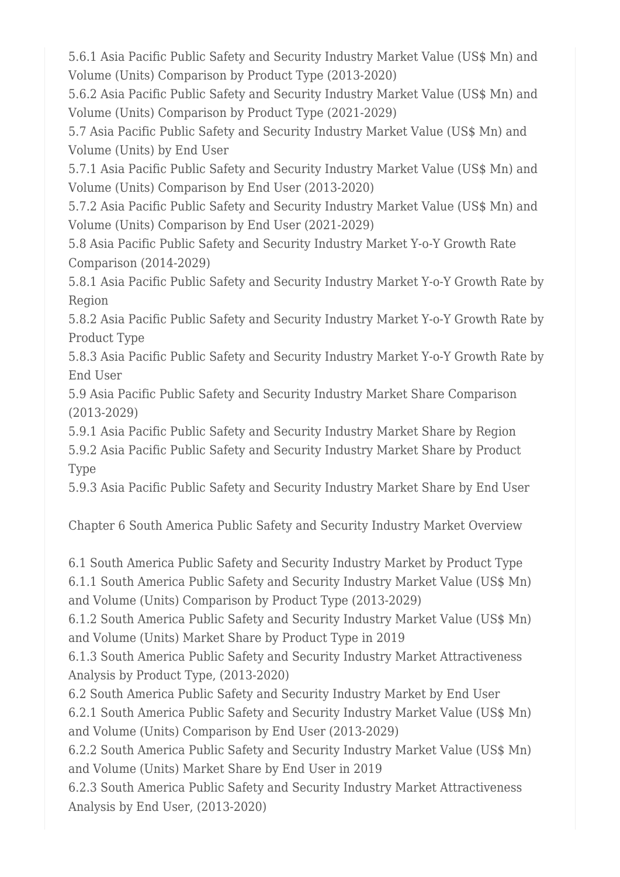5.6.1 Asia Pacific Public Safety and Security Industry Market Value (US\$ Mn) and Volume (Units) Comparison by Product Type (2013-2020)

5.6.2 Asia Pacific Public Safety and Security Industry Market Value (US\$ Mn) and Volume (Units) Comparison by Product Type (2021-2029)

5.7 Asia Pacific Public Safety and Security Industry Market Value (US\$ Mn) and Volume (Units) by End User

5.7.1 Asia Pacific Public Safety and Security Industry Market Value (US\$ Mn) and Volume (Units) Comparison by End User (2013-2020)

5.7.2 Asia Pacific Public Safety and Security Industry Market Value (US\$ Mn) and Volume (Units) Comparison by End User (2021-2029)

5.8 Asia Pacific Public Safety and Security Industry Market Y-o-Y Growth Rate Comparison (2014-2029)

5.8.1 Asia Pacific Public Safety and Security Industry Market Y-o-Y Growth Rate by Region

5.8.2 Asia Pacific Public Safety and Security Industry Market Y-o-Y Growth Rate by Product Type

5.8.3 Asia Pacific Public Safety and Security Industry Market Y-o-Y Growth Rate by End User

5.9 Asia Pacific Public Safety and Security Industry Market Share Comparison (2013-2029)

5.9.1 Asia Pacific Public Safety and Security Industry Market Share by Region 5.9.2 Asia Pacific Public Safety and Security Industry Market Share by Product Type

5.9.3 Asia Pacific Public Safety and Security Industry Market Share by End User

Chapter 6 South America Public Safety and Security Industry Market Overview

6.1 South America Public Safety and Security Industry Market by Product Type

6.1.1 South America Public Safety and Security Industry Market Value (US\$ Mn) and Volume (Units) Comparison by Product Type (2013-2029)

6.1.2 South America Public Safety and Security Industry Market Value (US\$ Mn) and Volume (Units) Market Share by Product Type in 2019

6.1.3 South America Public Safety and Security Industry Market Attractiveness Analysis by Product Type, (2013-2020)

6.2 South America Public Safety and Security Industry Market by End User

6.2.1 South America Public Safety and Security Industry Market Value (US\$ Mn) and Volume (Units) Comparison by End User (2013-2029)

6.2.2 South America Public Safety and Security Industry Market Value (US\$ Mn) and Volume (Units) Market Share by End User in 2019

6.2.3 South America Public Safety and Security Industry Market Attractiveness Analysis by End User, (2013-2020)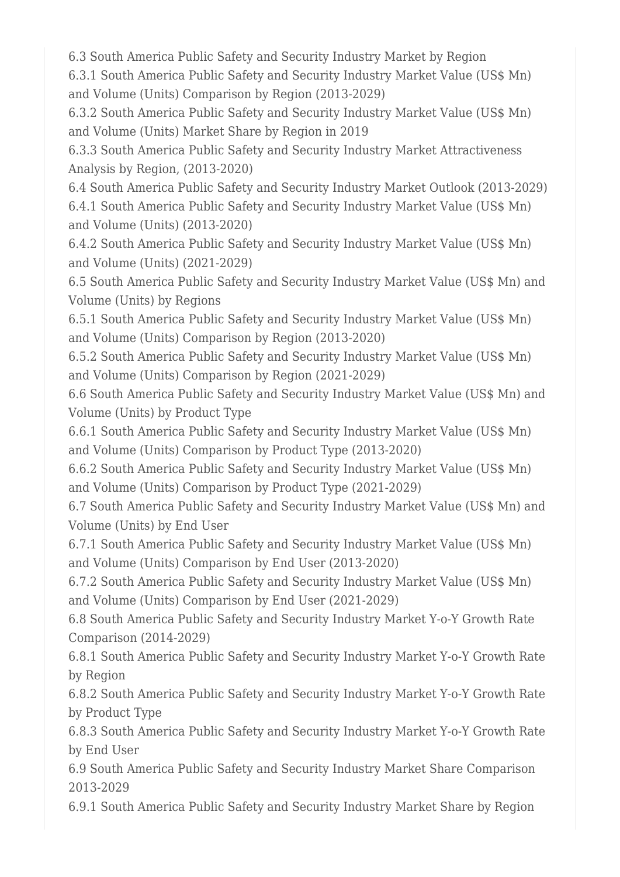6.3 South America Public Safety and Security Industry Market by Region

6.3.1 South America Public Safety and Security Industry Market Value (US\$ Mn) and Volume (Units) Comparison by Region (2013-2029)

6.3.2 South America Public Safety and Security Industry Market Value (US\$ Mn) and Volume (Units) Market Share by Region in 2019

6.3.3 South America Public Safety and Security Industry Market Attractiveness Analysis by Region, (2013-2020)

6.4 South America Public Safety and Security Industry Market Outlook (2013-2029) 6.4.1 South America Public Safety and Security Industry Market Value (US\$ Mn) and Volume (Units) (2013-2020)

6.4.2 South America Public Safety and Security Industry Market Value (US\$ Mn) and Volume (Units) (2021-2029)

6.5 South America Public Safety and Security Industry Market Value (US\$ Mn) and Volume (Units) by Regions

6.5.1 South America Public Safety and Security Industry Market Value (US\$ Mn) and Volume (Units) Comparison by Region (2013-2020)

6.5.2 South America Public Safety and Security Industry Market Value (US\$ Mn) and Volume (Units) Comparison by Region (2021-2029)

6.6 South America Public Safety and Security Industry Market Value (US\$ Mn) and Volume (Units) by Product Type

6.6.1 South America Public Safety and Security Industry Market Value (US\$ Mn) and Volume (Units) Comparison by Product Type (2013-2020)

6.6.2 South America Public Safety and Security Industry Market Value (US\$ Mn) and Volume (Units) Comparison by Product Type (2021-2029)

6.7 South America Public Safety and Security Industry Market Value (US\$ Mn) and Volume (Units) by End User

6.7.1 South America Public Safety and Security Industry Market Value (US\$ Mn) and Volume (Units) Comparison by End User (2013-2020)

6.7.2 South America Public Safety and Security Industry Market Value (US\$ Mn) and Volume (Units) Comparison by End User (2021-2029)

6.8 South America Public Safety and Security Industry Market Y-o-Y Growth Rate Comparison (2014-2029)

6.8.1 South America Public Safety and Security Industry Market Y-o-Y Growth Rate by Region

6.8.2 South America Public Safety and Security Industry Market Y-o-Y Growth Rate by Product Type

6.8.3 South America Public Safety and Security Industry Market Y-o-Y Growth Rate by End User

6.9 South America Public Safety and Security Industry Market Share Comparison 2013-2029

6.9.1 South America Public Safety and Security Industry Market Share by Region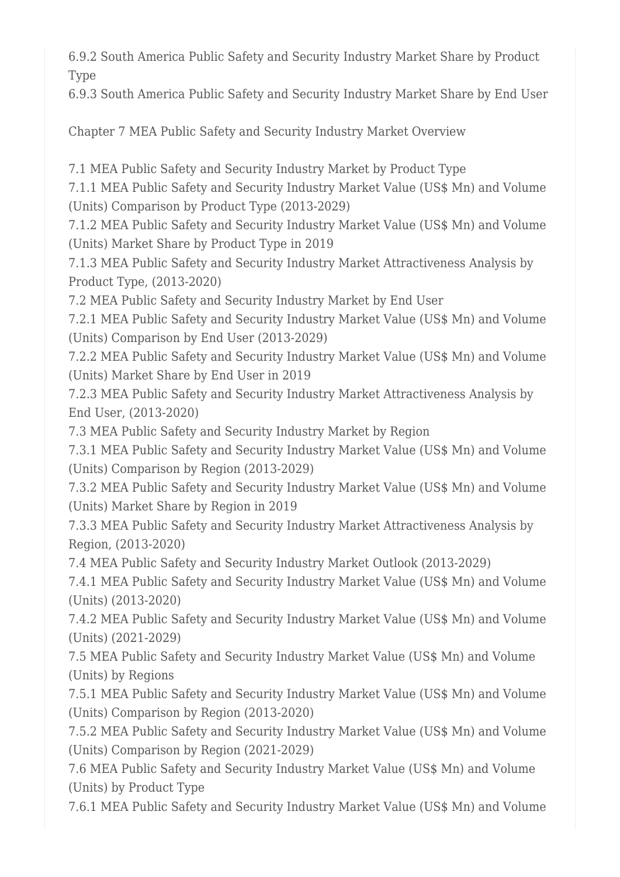6.9.2 South America Public Safety and Security Industry Market Share by Product Type

6.9.3 South America Public Safety and Security Industry Market Share by End User

Chapter 7 MEA Public Safety and Security Industry Market Overview

7.1 MEA Public Safety and Security Industry Market by Product Type

7.1.1 MEA Public Safety and Security Industry Market Value (US\$ Mn) and Volume (Units) Comparison by Product Type (2013-2029)

7.1.2 MEA Public Safety and Security Industry Market Value (US\$ Mn) and Volume (Units) Market Share by Product Type in 2019

7.1.3 MEA Public Safety and Security Industry Market Attractiveness Analysis by Product Type, (2013-2020)

7.2 MEA Public Safety and Security Industry Market by End User

7.2.1 MEA Public Safety and Security Industry Market Value (US\$ Mn) and Volume (Units) Comparison by End User (2013-2029)

7.2.2 MEA Public Safety and Security Industry Market Value (US\$ Mn) and Volume (Units) Market Share by End User in 2019

7.2.3 MEA Public Safety and Security Industry Market Attractiveness Analysis by End User, (2013-2020)

7.3 MEA Public Safety and Security Industry Market by Region

7.3.1 MEA Public Safety and Security Industry Market Value (US\$ Mn) and Volume (Units) Comparison by Region (2013-2029)

7.3.2 MEA Public Safety and Security Industry Market Value (US\$ Mn) and Volume (Units) Market Share by Region in 2019

7.3.3 MEA Public Safety and Security Industry Market Attractiveness Analysis by Region, (2013-2020)

7.4 MEA Public Safety and Security Industry Market Outlook (2013-2029)

7.4.1 MEA Public Safety and Security Industry Market Value (US\$ Mn) and Volume (Units) (2013-2020)

7.4.2 MEA Public Safety and Security Industry Market Value (US\$ Mn) and Volume (Units) (2021-2029)

7.5 MEA Public Safety and Security Industry Market Value (US\$ Mn) and Volume (Units) by Regions

7.5.1 MEA Public Safety and Security Industry Market Value (US\$ Mn) and Volume (Units) Comparison by Region (2013-2020)

7.5.2 MEA Public Safety and Security Industry Market Value (US\$ Mn) and Volume (Units) Comparison by Region (2021-2029)

7.6 MEA Public Safety and Security Industry Market Value (US\$ Mn) and Volume (Units) by Product Type

7.6.1 MEA Public Safety and Security Industry Market Value (US\$ Mn) and Volume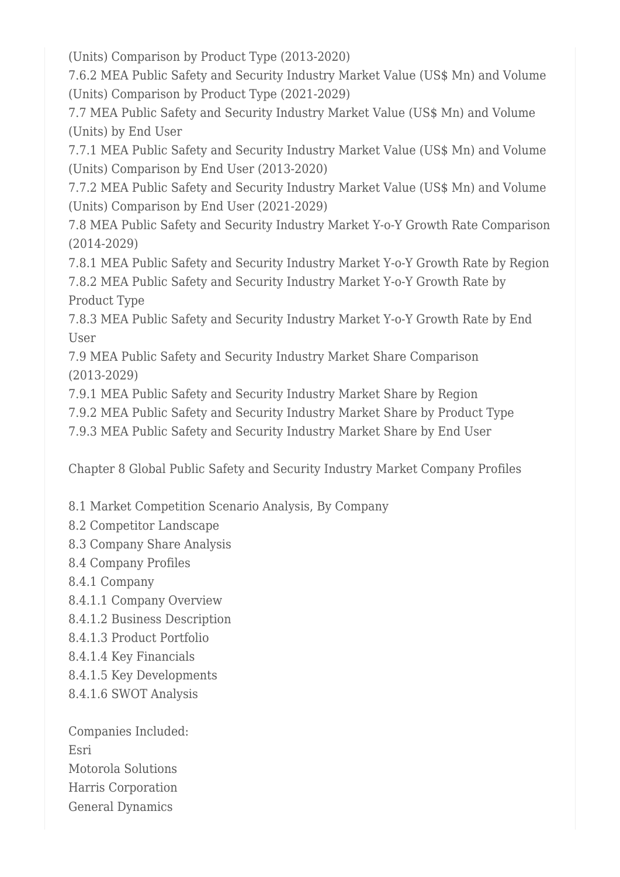(Units) Comparison by Product Type (2013-2020)

7.6.2 MEA Public Safety and Security Industry Market Value (US\$ Mn) and Volume (Units) Comparison by Product Type (2021-2029)

7.7 MEA Public Safety and Security Industry Market Value (US\$ Mn) and Volume (Units) by End User

7.7.1 MEA Public Safety and Security Industry Market Value (US\$ Mn) and Volume (Units) Comparison by End User (2013-2020)

7.7.2 MEA Public Safety and Security Industry Market Value (US\$ Mn) and Volume (Units) Comparison by End User (2021-2029)

7.8 MEA Public Safety and Security Industry Market Y-o-Y Growth Rate Comparison (2014-2029)

7.8.1 MEA Public Safety and Security Industry Market Y-o-Y Growth Rate by Region 7.8.2 MEA Public Safety and Security Industry Market Y-o-Y Growth Rate by Product Type

7.8.3 MEA Public Safety and Security Industry Market Y-o-Y Growth Rate by End User

7.9 MEA Public Safety and Security Industry Market Share Comparison (2013-2029)

7.9.1 MEA Public Safety and Security Industry Market Share by Region

7.9.2 MEA Public Safety and Security Industry Market Share by Product Type

7.9.3 MEA Public Safety and Security Industry Market Share by End User

Chapter 8 Global Public Safety and Security Industry Market Company Profiles

8.1 Market Competition Scenario Analysis, By Company

- 8.2 Competitor Landscape
- 8.3 Company Share Analysis
- 8.4 Company Profiles
- 8.4.1 Company
- 8.4.1.1 Company Overview
- 8.4.1.2 Business Description
- 8.4.1.3 Product Portfolio
- 8.4.1.4 Key Financials
- 8.4.1.5 Key Developments
- 8.4.1.6 SWOT Analysis

Companies Included: Esri Motorola Solutions Harris Corporation General Dynamics